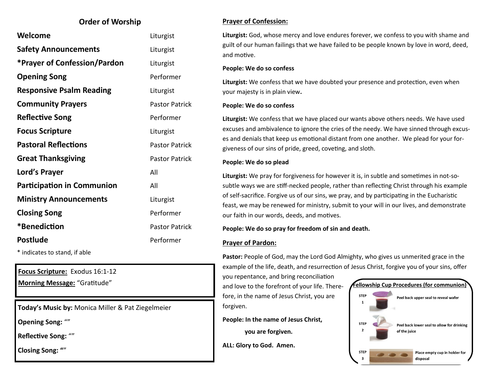### **Order of Worship**

| Welcome                             | Liturgist             |
|-------------------------------------|-----------------------|
| <b>Safety Announcements</b>         | Liturgist             |
| <b>*Prayer of Confession/Pardon</b> | Liturgist             |
| <b>Opening Song</b>                 | Performer             |
| <b>Responsive Psalm Reading</b>     | Liturgist             |
| <b>Community Prayers</b>            | <b>Pastor Patrick</b> |
| <b>Reflective Song</b>              | Performer             |
| <b>Focus Scripture</b>              | Liturgist             |
| <b>Pastoral Reflections</b>         | <b>Pastor Patrick</b> |
| <b>Great Thanksgiving</b>           | <b>Pastor Patrick</b> |
| Lord's Prayer                       | All                   |
| <b>Participation in Communion</b>   | All                   |
| <b>Ministry Announcements</b>       | Liturgist             |
| <b>Closing Song</b>                 | Performer             |
| *Benediction                        | <b>Pastor Patrick</b> |
| <b>Postlude</b>                     | Performer             |
| * indicates to stand, if able       |                       |

**Focus Scripture:** Exodus 16:1-12

**Today's Music by:** Monica Miller & Pat Ziegelmeier

**Opening Song:** ""

**Reflective Song:** ""

**Closing Song: "**"

### **Prayer of Confession:**

**Liturgist:** God, whose mercy and love endures forever, we confess to you with shame and guilt of our human failings that we have failed to be people known by love in word, deed, and motive.

#### **People: We do so confess**

**Liturgist:** We confess that we have doubted your presence and protection, even when your majesty is in plain view**.**

#### **People: We do so confess**

**Liturgist:** We confess that we have placed our wants above others needs. We have used excuses and ambivalence to ignore the cries of the needy. We have sinned through excuses and denials that keep us emotional distant from one another. We plead for your forgiveness of our sins of pride, greed, coveting, and sloth.

#### **People: We do so plead**

**Liturgist:** We pray for forgiveness for however it is, in subtle and sometimes in not-sosubtle ways we are stiff-necked people, rather than reflecting Christ through his example of self-sacrifice. Forgive us of our sins, we pray, and by participating in the Eucharistic feast, we may be renewed for ministry, submit to your will in our lives, and demonstrate our faith in our words, deeds, and motives.

**People: We do so pray for freedom of sin and death.**

#### **Prayer of Pardon:**

**Pastor:** People of God, may the Lord God Almighty, who gives us unmerited grace in the example of the life, death, and resurrection of Jesus Christ, forgive you of your sins, offer

you repentance, and bring reconciliation fore, in the name of Jesus Christ, you are forgiven.

**People: In the name of Jesus Christ,** 

**you are forgiven.**

**ALL: Glory to God. Amen.**